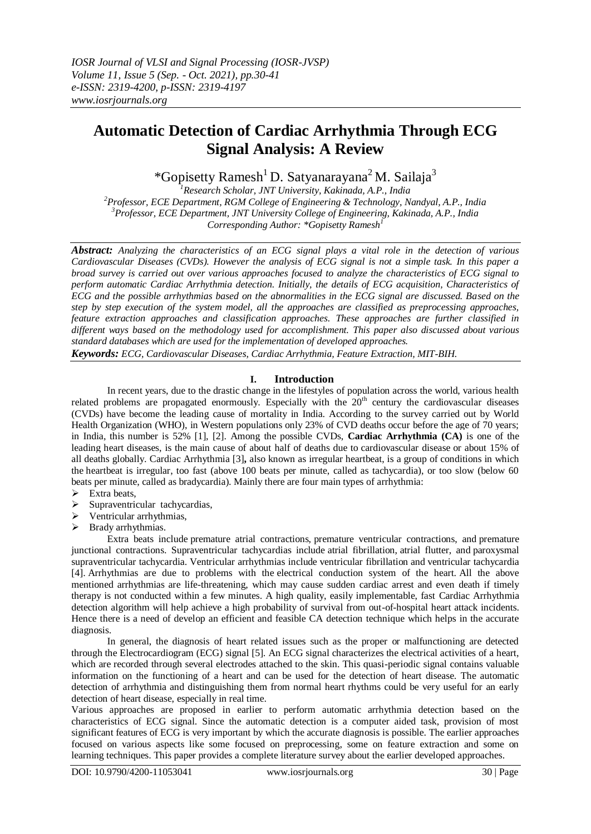# **Automatic Detection of Cardiac Arrhythmia Through ECG Signal Analysis: A Review**

\*Gopisetty Ramesh<sup>1</sup> D. Satyanarayana<sup>2</sup> M. Sailaja<sup>3</sup>

*Research Scholar, JNT University, Kakinada, A.P., India Professor, ECE Department, RGM College of Engineering & Technology, Nandyal, A.P., India Professor, ECE Department, JNT University College of Engineering, Kakinada, A.P., India Corresponding Author: \*Gopisetty Ramesh<sup>1</sup>*

*Abstract: Analyzing the characteristics of an ECG signal plays a vital role in the detection of various Cardiovascular Diseases (CVDs). However the analysis of ECG signal is not a simple task. In this paper a broad survey is carried out over various approaches focused to analyze the characteristics of ECG signal to perform automatic Cardiac Arrhythmia detection. Initially, the details of ECG acquisition, Characteristics of ECG and the possible arrhythmias based on the abnormalities in the ECG signal are discussed. Based on the step by step execution of the system model, all the approaches are classified as preprocessing approaches, feature extraction approaches and classification approaches. These approaches are further classified in different ways based on the methodology used for accomplishment. This paper also discussed about various standard databases which are used for the implementation of developed approaches.* 

*Keywords: ECG, Cardiovascular Diseases, Cardiac Arrhythmia, Feature Extraction, MIT-BIH.*

# **I. Introduction**

In recent years, due to the drastic change in the lifestyles of population across the world, various health related problems are propagated enormously. Especially with the  $20<sup>th</sup>$  century the cardiovascular diseases (CVDs) have become the leading cause of mortality in India. According to the survey carried out by World Health Organization (WHO), in Western populations only 23% of CVD deaths occur before the age of 70 years; in India, this number is 52% [1], [2]. Among the possible CVDs, **Cardiac Arrhythmia (CA)** is one of the leading heart diseases, is the main cause of about half of deaths due to cardiovascular disease or about 15% of all deaths globally. Cardiac Arrhythmia [3]**,** also known as irregular heartbeat, is a group of conditions in which the heartbeat is irregular, too fast (above 100 beats per minute, called as tachycardia), or too slow (below 60 beats per minute, called as bradycardia). Mainly there are four main types of arrhythmia:

- $\triangleright$  Extra beats,
- $\triangleright$  Supraventricular tachycardias,
- $\triangleright$  Ventricular arrhythmias,
- $\triangleright$  Brady arrhythmias.

Extra beats include premature atrial contractions, premature ventricular contractions, and premature junctional contractions. Supraventricular tachycardias include atrial fibrillation, atrial flutter, and paroxysmal supraventricular tachycardia. Ventricular arrhythmias include ventricular fibrillation and ventricular tachycardia [4]. Arrhythmias are due to problems with the electrical conduction system of the heart. All the above mentioned arrhythmias are life-threatening, which may cause sudden cardiac arrest and even death if timely therapy is not conducted within a few minutes. A high quality, easily implementable, fast Cardiac Arrhythmia detection algorithm will help achieve a high probability of survival from out-of-hospital heart attack incidents. Hence there is a need of develop an efficient and feasible CA detection technique which helps in the accurate diagnosis.

In general, the diagnosis of heart related issues such as the proper or malfunctioning are detected through the Electrocardiogram (ECG) signal [5]. An ECG signal characterizes the electrical activities of a heart, which are recorded through several electrodes attached to the skin. This quasi-periodic signal contains valuable information on the functioning of a heart and can be used for the detection of heart disease. The automatic detection of arrhythmia and distinguishing them from normal heart rhythms could be very useful for an early detection of heart disease, especially in real time.

Various approaches are proposed in earlier to perform automatic arrhythmia detection based on the characteristics of ECG signal. Since the automatic detection is a computer aided task, provision of most significant features of ECG is very important by which the accurate diagnosis is possible. The earlier approaches focused on various aspects like some focused on preprocessing, some on feature extraction and some on learning techniques. This paper provides a complete literature survey about the earlier developed approaches.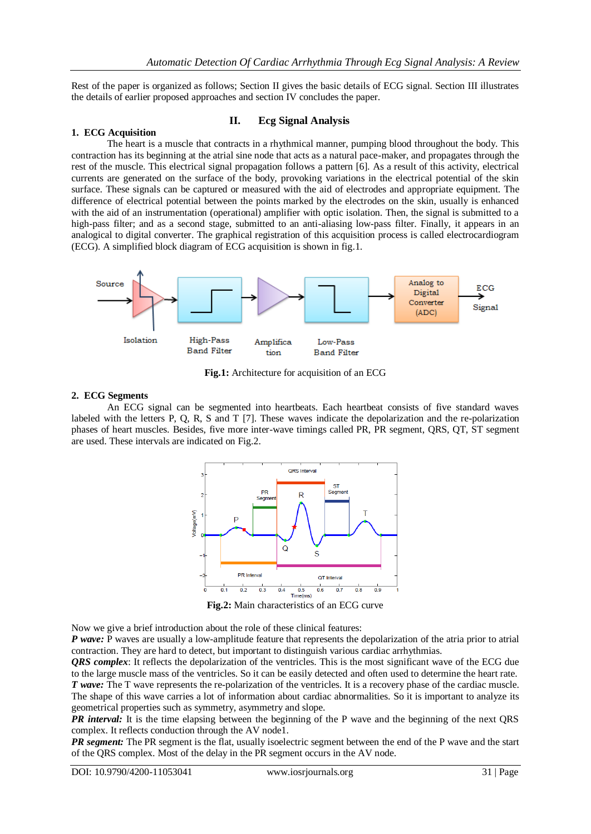Rest of the paper is organized as follows; Section II gives the basic details of ECG signal. Section III illustrates the details of earlier proposed approaches and section IV concludes the paper.

# **1. ECG Acquisition**

# **II. Ecg Signal Analysis**

The heart is a muscle that contracts in a rhythmical manner, pumping blood throughout the body. This contraction has its beginning at the atrial sine node that acts as a natural pace-maker, and propagates through the rest of the muscle. This electrical signal propagation follows a pattern [6]. As a result of this activity, electrical currents are generated on the surface of the body, provoking variations in the electrical potential of the skin surface. These signals can be captured or measured with the aid of electrodes and appropriate equipment. The difference of electrical potential between the points marked by the electrodes on the skin, usually is enhanced with the aid of an instrumentation (operational) amplifier with optic isolation. Then, the signal is submitted to a high-pass filter; and as a second stage, submitted to an anti-aliasing low-pass filter. Finally, it appears in an analogical to digital converter. The graphical registration of this acquisition process is called electrocardiogram (ECG). A simplified block diagram of ECG acquisition is shown in fig.1.



**Fig.1:** Architecture for acquisition of an ECG

#### **2. ECG Segments**

An ECG signal can be segmented into heartbeats. Each heartbeat consists of five standard waves labeled with the letters P, Q, R, S and T [7]. These waves indicate the depolarization and the re-polarization phases of heart muscles. Besides, five more inter-wave timings called PR, PR segment, QRS, QT, ST segment are used. These intervals are indicated on Fig.2.



**Fig.2:** Main characteristics of an ECG curve

Now we give a brief introduction about the role of these clinical features:

*P wave:* P waves are usually a low-amplitude feature that represents the depolarization of the atria prior to atrial contraction. They are hard to detect, but important to distinguish various cardiac arrhythmias.

*QRS complex*: It reflects the depolarization of the ventricles. This is the most significant wave of the ECG due to the large muscle mass of the ventricles. So it can be easily detected and often used to determine the heart rate. *T wave:* The T wave represents the re-polarization of the ventricles. It is a recovery phase of the cardiac muscle. The shape of this wave carries a lot of information about cardiac abnormalities. So it is important to analyze its geometrical properties such as symmetry, asymmetry and slope.

*PR interval:* It is the time elapsing between the beginning of the P wave and the beginning of the next QRS complex. It reflects conduction through the AV node1.

*PR segment:* The PR segment is the flat, usually isoelectric segment between the end of the P wave and the start of the QRS complex. Most of the delay in the PR segment occurs in the AV node.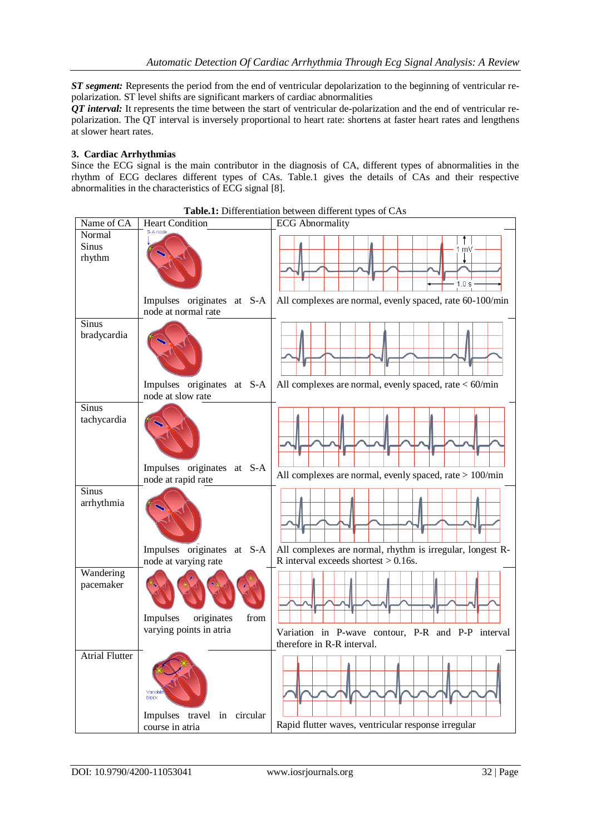*ST segment:* Represents the period from the end of ventricular depolarization to the beginning of ventricular repolarization. ST level shifts are significant markers of cardiac abnormalities

*QT interval:* It represents the time between the start of ventricular de-polarization and the end of ventricular repolarization. The QT interval is inversely proportional to heart rate: shortens at faster heart rates and lengthens at slower heart rates.

### **3. Cardiac Arrhythmias**

Since the ECG signal is the main contributor in the diagnosis of CA, different types of abnormalities in the rhythm of ECG declares different types of CAs. Table.1 gives the details of CAs and their respective abnormalities in the characteristics of ECG signal [8].

| Name of CA                       | <b>Heart Condition</b>                             | <b>Rabici Dinerentation</b> between anterent types of Cras<br><b>ECG</b> Abnormality                 |
|----------------------------------|----------------------------------------------------|------------------------------------------------------------------------------------------------------|
| Normal<br><b>Sinus</b><br>rhythm | S-A node                                           | m۷<br>1.0 s                                                                                          |
|                                  | Impulses originates at S-A<br>node at normal rate  | All complexes are normal, evenly spaced, rate 60-100/min                                             |
| Sinus<br>bradycardia             |                                                    |                                                                                                      |
|                                  | Impulses originates at S-A<br>node at slow rate    | All complexes are normal, evenly spaced, rate $<$ 60/min                                             |
| <b>Sinus</b><br>tachycardia      |                                                    |                                                                                                      |
|                                  | Impulses originates at S-A<br>node at rapid rate   | All complexes are normal, evenly spaced, rate > 100/min                                              |
| <b>Sinus</b><br>arrhythmia       |                                                    |                                                                                                      |
|                                  | Impulses originates at S-A<br>node at varying rate | All complexes are normal, rhythm is irregular, longest R-<br>R interval exceeds shortest $> 0.16$ s. |
| Wandering<br>pacemaker           | Impulses<br>originates<br>from                     |                                                                                                      |
|                                  | varying points in atria                            | Variation in P-wave contour, P-R and P-P interval<br>therefore in R-R interval.                      |
| <b>Atrial Flutter</b>            | Variabl<br>block<br>Impulses travel in circular    |                                                                                                      |
|                                  | course in atria                                    | Rapid flutter waves, ventricular response irregular                                                  |

**Table.1:** Differentiation between different types of CAs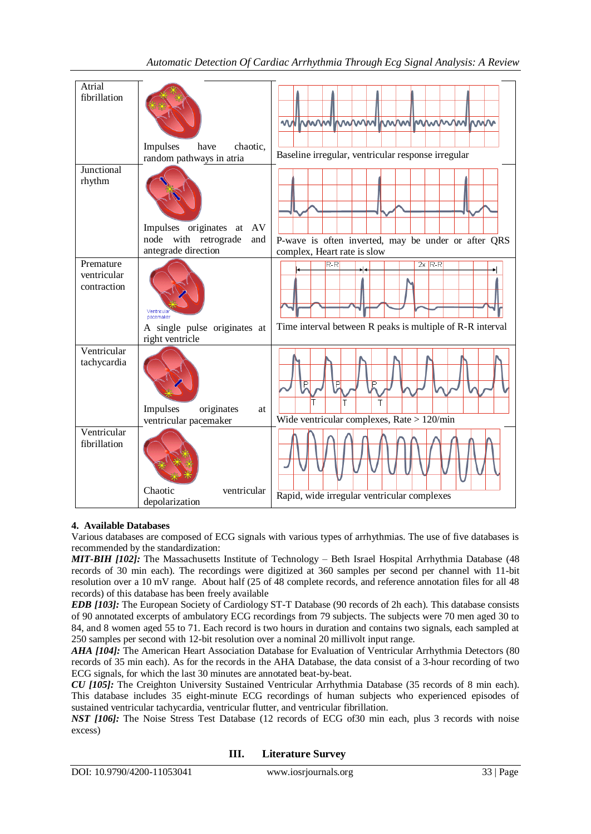| Atrial                                  |                                                                                       |                                                                                    |
|-----------------------------------------|---------------------------------------------------------------------------------------|------------------------------------------------------------------------------------|
| fibrillation                            | Impulses<br>chaotic.<br>have                                                          | Muhimminininininininininin<br>₩                                                    |
|                                         | random pathways in atria                                                              | Baseline irregular, ventricular response irregular                                 |
| Junctional<br>rhythm                    |                                                                                       |                                                                                    |
|                                         | Impulses originates at<br>AV<br>with retrograde<br>node<br>and<br>antegrade direction | P-wave is often inverted, may be under or after QRS<br>complex, Heart rate is slow |
| Premature<br>ventricular<br>contraction | pacemaker                                                                             | $2x$ R-R<br>$R-R$                                                                  |
|                                         | A single pulse originates at<br>right ventricle                                       | Time interval between R peaks is multiple of R-R interval                          |
| Ventricular<br>tachycardia              | Impulses<br>originates<br>at<br>ventricular pacemaker                                 | P<br>P<br>Т<br>Wide ventricular complexes, Rate $> 120$ /min                       |
| Ventricular<br>fibrillation             | Chaotic<br>ventricular                                                                | Rapid, wide irregular ventricular complexes                                        |
|                                         | depolarization                                                                        |                                                                                    |

# **4. Available Databases**

Various databases are composed of ECG signals with various types of arrhythmias. The use of five databases is recommended by the standardization:

*MIT-BIH [102]:* The Massachusetts Institute of Technology – Beth Israel Hospital Arrhythmia Database (48 records of 30 min each). The recordings were digitized at 360 samples per second per channel with 11-bit resolution over a 10 mV range. About half (25 of 48 complete records, and reference annotation files for all 48 records) of this database has been freely available

*EDB [103]:* The European Society of Cardiology ST-T Database (90 records of 2h each). This database consists of 90 annotated excerpts of ambulatory ECG recordings from 79 subjects. The subjects were 70 men aged 30 to 84, and 8 women aged 55 to 71. Each record is two hours in duration and contains two signals, each sampled at 250 samples per second with 12-bit resolution over a nominal 20 millivolt input range.

*AHA [104]:* The American Heart Association Database for Evaluation of Ventricular Arrhythmia Detectors (80 records of 35 min each). As for the records in the AHA Database, the data consist of a 3-hour recording of two ECG signals, for which the last 30 minutes are annotated beat-by-beat.

*CU [105]:* The Creighton University Sustained Ventricular Arrhythmia Database (35 records of 8 min each). This database includes 35 eight-minute ECG recordings of human subjects who experienced episodes of sustained ventricular tachycardia, ventricular flutter, and ventricular fibrillation.

*NST [106]:* The Noise Stress Test Database (12 records of ECG of30 min each, plus 3 records with noise excess)

**III. Literature Survey**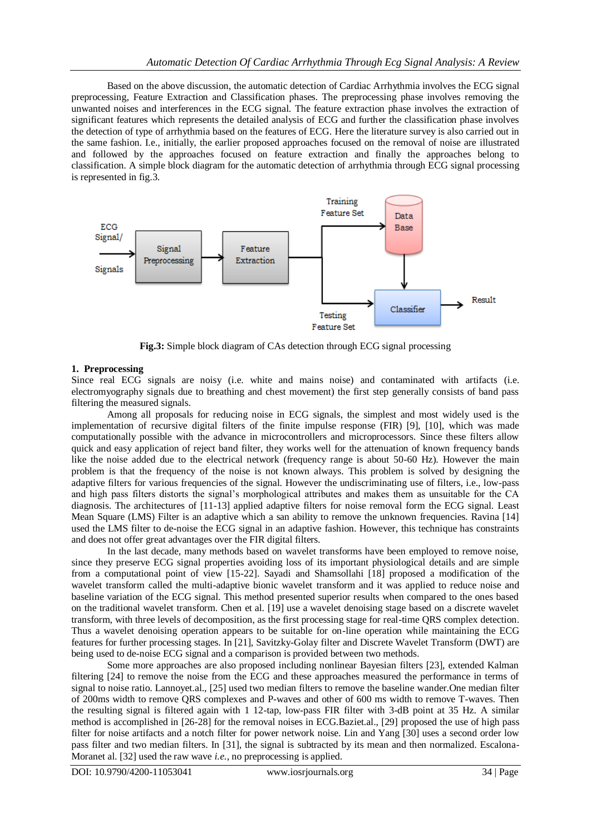Based on the above discussion, the automatic detection of Cardiac Arrhythmia involves the ECG signal preprocessing, Feature Extraction and Classification phases. The preprocessing phase involves removing the unwanted noises and interferences in the ECG signal. The feature extraction phase involves the extraction of significant features which represents the detailed analysis of ECG and further the classification phase involves the detection of type of arrhythmia based on the features of ECG. Here the literature survey is also carried out in the same fashion. I.e., initially, the earlier proposed approaches focused on the removal of noise are illustrated and followed by the approaches focused on feature extraction and finally the approaches belong to classification. A simple block diagram for the automatic detection of arrhythmia through ECG signal processing is represented in fig.3.



**Fig.3:** Simple block diagram of CAs detection through ECG signal processing

### **1. Preprocessing**

Since real ECG signals are noisy (i.e. white and mains noise) and contaminated with artifacts (i.e. electromyography signals due to breathing and chest movement) the first step generally consists of band pass filtering the measured signals.

Among all proposals for reducing noise in ECG signals, the simplest and most widely used is the implementation of recursive digital filters of the finite impulse response (FIR) [9], [10], which was made computationally possible with the advance in microcontrollers and microprocessors. Since these filters allow quick and easy application of reject band filter, they works well for the attenuation of known frequency bands like the noise added due to the electrical network (frequency range is about 50-60 Hz). However the main problem is that the frequency of the noise is not known always. This problem is solved by designing the adaptive filters for various frequencies of the signal. However the undiscriminating use of filters, i.e., low-pass and high pass filters distorts the signal's morphological attributes and makes them as unsuitable for the CA diagnosis. The architectures of [11-13] applied adaptive filters for noise removal form the ECG signal. Least Mean Square (LMS) Filter is an adaptive which a san ability to remove the unknown frequencies. Ravina [14] used the LMS filter to de-noise the ECG signal in an adaptive fashion. However, this technique has constraints and does not offer great advantages over the FIR digital filters.

In the last decade, many methods based on wavelet transforms have been employed to remove noise, since they preserve ECG signal properties avoiding loss of its important physiological details and are simple from a computational point of view [15-22]. Sayadi and Shamsollahi [18] proposed a modification of the wavelet transform called the multi-adaptive bionic wavelet transform and it was applied to reduce noise and baseline variation of the ECG signal. This method presented superior results when compared to the ones based on the traditional wavelet transform. Chen et al. [19] use a wavelet denoising stage based on a discrete wavelet transform, with three levels of decomposition, as the first processing stage for real-time QRS complex detection. Thus a wavelet denoising operation appears to be suitable for on-line operation while maintaining the ECG features for further processing stages. In [21], Savitzky-Golay filter and Discrete Wavelet Transform (DWT) are being used to de-noise ECG signal and a comparison is provided between two methods.

Some more approaches are also proposed including nonlinear Bayesian filters [23], extended Kalman filtering [24] to remove the noise from the ECG and these approaches measured the performance in terms of signal to noise ratio. Lannoyet.al., [25] used two median filters to remove the baseline wander.One median filter of 200ms width to remove QRS complexes and P-waves and other of 600 ms width to remove T-waves. Then the resulting signal is filtered again with 1 12-tap, low-pass FIR filter with 3-dB point at 35 Hz. A similar method is accomplished in [26-28] for the removal noises in ECG.Baziet.al., [29] proposed the use of high pass filter for noise artifacts and a notch filter for power network noise. Lin and Yang [30] uses a second order low pass filter and two median filters. In [31], the signal is subtracted by its mean and then normalized. Escalona-Moranet al. [32] used the raw wave *i.e.*, no preprocessing is applied.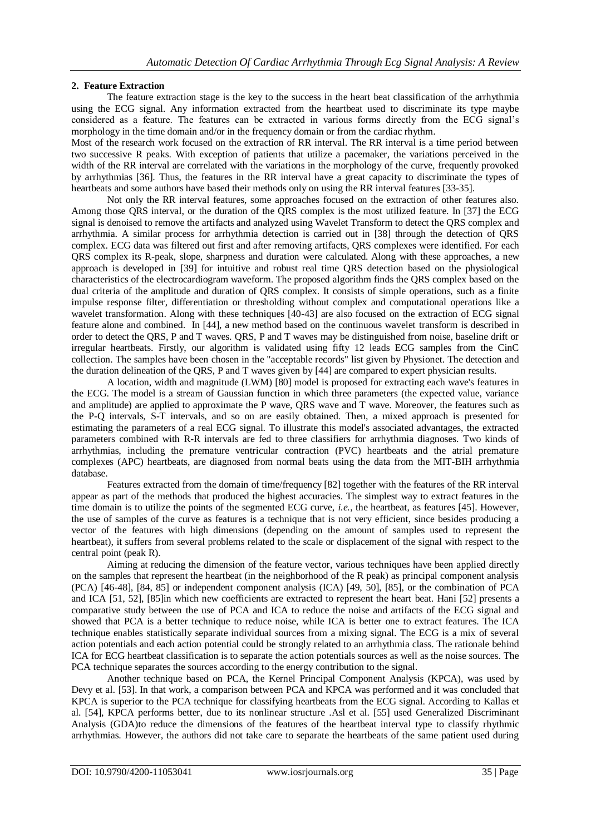# **2. Feature Extraction**

The feature extraction stage is the key to the success in the heart beat classification of the arrhythmia using the ECG signal. Any information extracted from the heartbeat used to discriminate its type maybe considered as a feature. The features can be extracted in various forms directly from the ECG signal's morphology in the time domain and/or in the frequency domain or from the cardiac rhythm.

Most of the research work focused on the extraction of RR interval. The RR interval is a time period between two successive R peaks. With exception of patients that utilize a pacemaker, the variations perceived in the width of the RR interval are correlated with the variations in the morphology of the curve, frequently provoked by arrhythmias [36]. Thus, the features in the RR interval have a great capacity to discriminate the types of heartbeats and some authors have based their methods only on using the RR interval features [33-35].

Not only the RR interval features, some approaches focused on the extraction of other features also. Among those QRS interval, or the duration of the QRS complex is the most utilized feature. In [37] the ECG signal is denoised to remove the artifacts and analyzed using Wavelet Transform to detect the QRS complex and arrhythmia. A similar process for arrhythmia detection is carried out in [38] through the detection of QRS complex. ECG data was filtered out first and after removing artifacts, QRS complexes were identified. For each QRS complex its R-peak, slope, sharpness and duration were calculated. Along with these approaches, a new approach is developed in [39] for intuitive and robust real time QRS detection based on the physiological characteristics of the electrocardiogram waveform. The proposed algorithm finds the QRS complex based on the dual criteria of the amplitude and duration of QRS complex. It consists of simple operations, such as a finite impulse response filter, differentiation or thresholding without complex and computational operations like a wavelet transformation. Along with these techniques [40-43] are also focused on the extraction of ECG signal feature alone and combined. In [44], a new method based on the continuous wavelet transform is described in order to detect the QRS, P and T waves. QRS, P and T waves may be distinguished from noise, baseline drift or irregular heartbeats. Firstly, our algorithm is validated using fifty 12 leads ECG samples from the CinC collection. The samples have been chosen in the "acceptable records" list given by Physionet. The detection and the duration delineation of the QRS, P and T waves given by [44] are compared to expert physician results.

A location, width and magnitude (LWM) [80] model is proposed for extracting each wave's features in the ECG. The model is a stream of Gaussian function in which three parameters (the expected value, variance and amplitude) are applied to approximate the P wave, QRS wave and T wave. Moreover, the features such as the P-Q intervals, S-T intervals, and so on are easily obtained. Then, a mixed approach is presented for estimating the parameters of a real ECG signal. To illustrate this model's associated advantages, the extracted parameters combined with R-R intervals are fed to three classifiers for arrhythmia diagnoses. Two kinds of arrhythmias, including the premature ventricular contraction (PVC) heartbeats and the atrial premature complexes (APC) heartbeats, are diagnosed from normal beats using the data from the MIT-BIH arrhythmia database.

Features extracted from the domain of time/frequency [82] together with the features of the RR interval appear as part of the methods that produced the highest accuracies. The simplest way to extract features in the time domain is to utilize the points of the segmented ECG curve, *i.e.*, the heartbeat, as features [45]. However, the use of samples of the curve as features is a technique that is not very efficient, since besides producing a vector of the features with high dimensions (depending on the amount of samples used to represent the heartbeat), it suffers from several problems related to the scale or displacement of the signal with respect to the central point (peak R).

Aiming at reducing the dimension of the feature vector, various techniques have been applied directly on the samples that represent the heartbeat (in the neighborhood of the R peak) as principal component analysis (PCA) [46-48], [84, 85] or independent component analysis (ICA) [49, 50], [85], or the combination of PCA and ICA [51, 52], [85]in which new coefficients are extracted to represent the heart beat. Hani [52] presents a comparative study between the use of PCA and ICA to reduce the noise and artifacts of the ECG signal and showed that PCA is a better technique to reduce noise, while ICA is better one to extract features. The ICA technique enables statistically separate individual sources from a mixing signal. The ECG is a mix of several action potentials and each action potential could be strongly related to an arrhythmia class. The rationale behind ICA for ECG heartbeat classification is to separate the action potentials sources as well as the noise sources. The PCA technique separates the sources according to the energy contribution to the signal.

Another technique based on PCA, the Kernel Principal Component Analysis (KPCA), was used by Devy et al. [53]. In that work, a comparison between PCA and KPCA was performed and it was concluded that KPCA is superior to the PCA technique for classifying heartbeats from the ECG signal. According to Kallas et al. [54], KPCA performs better, due to its nonlinear structure .Asl et al. [55] used Generalized Discriminant Analysis (GDA)to reduce the dimensions of the features of the heartbeat interval type to classify rhythmic arrhythmias. However, the authors did not take care to separate the heartbeats of the same patient used during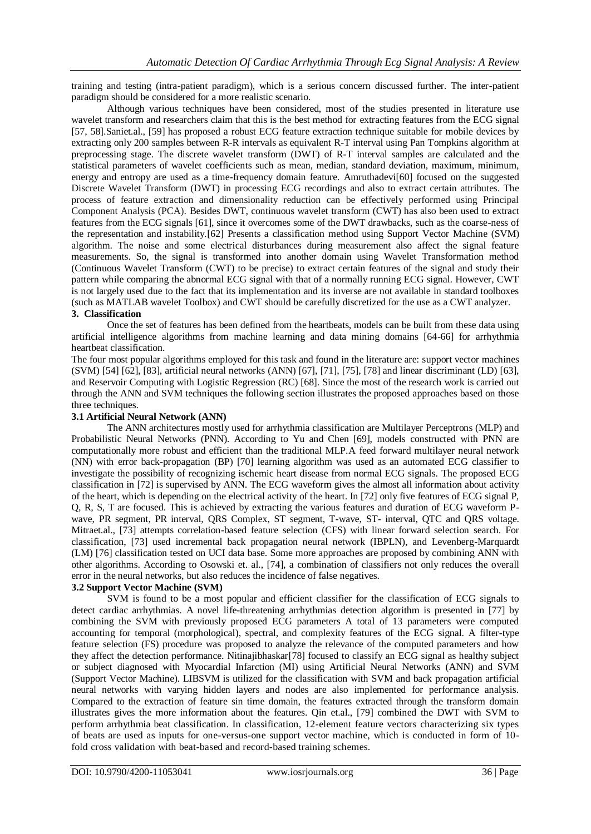training and testing (intra-patient paradigm), which is a serious concern discussed further. The inter-patient paradigm should be considered for a more realistic scenario.

Although various techniques have been considered, most of the studies presented in literature use wavelet transform and researchers claim that this is the best method for extracting features from the ECG signal [57, 58].Saniet.al., [59] has proposed a robust ECG feature extraction technique suitable for mobile devices by extracting only 200 samples between R-R intervals as equivalent R-T interval using Pan Tompkins algorithm at preprocessing stage. The discrete wavelet transform (DWT) of R-T interval samples are calculated and the statistical parameters of wavelet coefficients such as mean, median, standard deviation, maximum, minimum, energy and entropy are used as a time-frequency domain feature. Amruthadevi[60] focused on the suggested Discrete Wavelet Transform (DWT) in processing ECG recordings and also to extract certain attributes. The process of feature extraction and dimensionality reduction can be effectively performed using Principal Component Analysis (PCA). Besides DWT, continuous wavelet transform (CWT) has also been used to extract features from the ECG signals [61], since it overcomes some of the DWT drawbacks, such as the coarse-ness of the representation and instability.[62] Presents a classification method using Support Vector Machine (SVM) algorithm. The noise and some electrical disturbances during measurement also affect the signal feature measurements. So, the signal is transformed into another domain using Wavelet Transformation method (Continuous Wavelet Transform (CWT) to be precise) to extract certain features of the signal and study their pattern while comparing the abnormal ECG signal with that of a normally running ECG signal. However, CWT is not largely used due to the fact that its implementation and its inverse are not available in standard toolboxes (such as MATLAB wavelet Toolbox) and CWT should be carefully discretized for the use as a CWT analyzer. **3. Classification** 

Once the set of features has been defined from the heartbeats, models can be built from these data using artificial intelligence algorithms from machine learning and data mining domains [64-66] for arrhythmia heartbeat classification.

The four most popular algorithms employed for this task and found in the literature are: support vector machines (SVM) [54] [62], [83], artificial neural networks (ANN) [67], [71], [75], [78] and linear discriminant (LD) [63], and Reservoir Computing with Logistic Regression (RC) [68]. Since the most of the research work is carried out through the ANN and SVM techniques the following section illustrates the proposed approaches based on those three techniques.

#### **3.1 Artificial Neural Network (ANN)**

The ANN architectures mostly used for arrhythmia classification are Multilayer Perceptrons (MLP) and Probabilistic Neural Networks (PNN). According to Yu and Chen [69], models constructed with PNN are computationally more robust and efficient than the traditional MLP.A feed forward multilayer neural network (NN) with error back-propagation (BP) [70] learning algorithm was used as an automated ECG classifier to investigate the possibility of recognizing ischemic heart disease from normal ECG signals. The proposed ECG classification in [72] is supervised by ANN. The ECG waveform gives the almost all information about activity of the heart, which is depending on the electrical activity of the heart. In [72] only five features of ECG signal P, Q, R, S, T are focused. This is achieved by extracting the various features and duration of ECG waveform Pwave, PR segment, PR interval, QRS Complex, ST segment, T-wave, ST- interval, QTC and QRS voltage. Mitraet.al., [73] attempts correlation-based feature selection (CFS) with linear forward selection search. For classification, [73] used incremental back propagation neural network (IBPLN), and Levenberg-Marquardt (LM) [76] classification tested on UCI data base. Some more approaches are proposed by combining ANN with other algorithms. According to Osowski et. al., [74], a combination of classifiers not only reduces the overall error in the neural networks, but also reduces the incidence of false negatives.

#### **3.2 Support Vector Machine (SVM)**

SVM is found to be a most popular and efficient classifier for the classification of ECG signals to detect cardiac arrhythmias. A novel life-threatening arrhythmias detection algorithm is presented in [77] by combining the SVM with previously proposed ECG parameters A total of 13 parameters were computed accounting for temporal (morphological), spectral, and complexity features of the ECG signal. A filter-type feature selection (FS) procedure was proposed to analyze the relevance of the computed parameters and how they affect the detection performance. Nitinajibhaskar[78] focused to classify an ECG signal as healthy subject or subject diagnosed with Myocardial Infarction (MI) using Artificial Neural Networks (ANN) and SVM (Support Vector Machine). LIBSVM is utilized for the classification with SVM and back propagation artificial neural networks with varying hidden layers and nodes are also implemented for performance analysis. Compared to the extraction of feature sin time domain, the features extracted through the transform domain illustrates gives the more information about the features. Qin et.al., [79] combined the DWT with SVM to perform arrhythmia beat classification. In classification, 12-element feature vectors characterizing six types of beats are used as inputs for one-versus-one support vector machine, which is conducted in form of 10 fold cross validation with beat-based and record-based training schemes.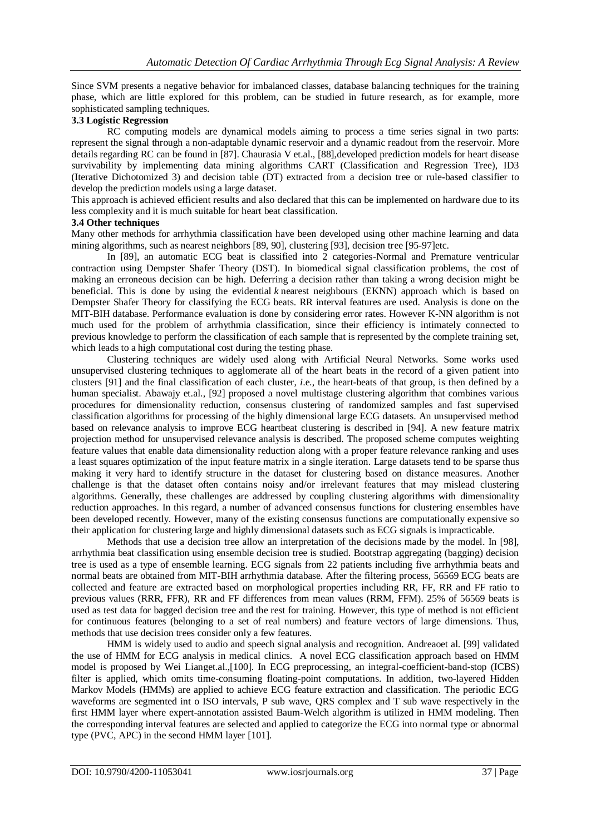Since SVM presents a negative behavior for imbalanced classes, database balancing techniques for the training phase, which are little explored for this problem, can be studied in future research, as for example, more sophisticated sampling techniques.

# **3.3 Logistic Regression**

RC computing models are dynamical models aiming to process a time series signal in two parts: represent the signal through a non-adaptable dynamic reservoir and a dynamic readout from the reservoir. More details regarding RC can be found in [87]. Chaurasia V et.al., [88],developed prediction models for heart disease survivability by implementing data mining algorithms CART (Classification and Regression Tree), ID3 (Iterative Dichotomized 3) and decision table (DT) extracted from a decision tree or rule-based classifier to develop the prediction models using a large dataset.

This approach is achieved efficient results and also declared that this can be implemented on hardware due to its less complexity and it is much suitable for heart beat classification.

#### **3.4 Other techniques**

Many other methods for arrhythmia classification have been developed using other machine learning and data mining algorithms, such as nearest neighbors [89, 90], clustering [93], decision tree [95-97]etc.

In [89], an automatic ECG beat is classified into 2 categories-Normal and Premature ventricular contraction using Dempster Shafer Theory (DST). In biomedical signal classification problems, the cost of making an erroneous decision can be high. Deferring a decision rather than taking a wrong decision might be beneficial. This is done by using the evidential *k* nearest neighbours (EKNN) approach which is based on Dempster Shafer Theory for classifying the ECG beats. RR interval features are used. Analysis is done on the MIT-BIH database. Performance evaluation is done by considering error rates. However K-NN algorithm is not much used for the problem of arrhythmia classification, since their efficiency is intimately connected to previous knowledge to perform the classification of each sample that is represented by the complete training set, which leads to a high computational cost during the testing phase.

Clustering techniques are widely used along with Artificial Neural Networks. Some works used unsupervised clustering techniques to agglomerate all of the heart beats in the record of a given patient into clusters [91] and the final classification of each cluster, *i*.e., the heart-beats of that group, is then defined by a human specialist. Abawajy et.al., [92] proposed a novel multistage clustering algorithm that combines various procedures for dimensionality reduction, consensus clustering of randomized samples and fast supervised classification algorithms for processing of the highly dimensional large ECG datasets. An unsupervised method based on relevance analysis to improve ECG heartbeat clustering is described in [94]. A new feature matrix projection method for unsupervised relevance analysis is described. The proposed scheme computes weighting feature values that enable data dimensionality reduction along with a proper feature relevance ranking and uses a least squares optimization of the input feature matrix in a single iteration. Large datasets tend to be sparse thus making it very hard to identify structure in the dataset for clustering based on distance measures. Another challenge is that the dataset often contains noisy and/or irrelevant features that may mislead clustering algorithms. Generally, these challenges are addressed by coupling clustering algorithms with dimensionality reduction approaches. In this regard, a number of advanced consensus functions for clustering ensembles have been developed recently. However, many of the existing consensus functions are computationally expensive so their application for clustering large and highly dimensional datasets such as ECG signals is impracticable.

Methods that use a decision tree allow an interpretation of the decisions made by the model. In [98], arrhythmia beat classification using ensemble decision tree is studied. Bootstrap aggregating (bagging) decision tree is used as a type of ensemble learning. ECG signals from 22 patients including five arrhythmia beats and normal beats are obtained from MIT-BIH arrhythmia database. After the filtering process, 56569 ECG beats are collected and feature are extracted based on morphological properties including RR, FF, RR and FF ratio to previous values (RRR, FFR), RR and FF differences from mean values (RRM, FFM). 25% of 56569 beats is used as test data for bagged decision tree and the rest for training. However, this type of method is not efficient for continuous features (belonging to a set of real numbers) and feature vectors of large dimensions. Thus, methods that use decision trees consider only a few features.

HMM is widely used to audio and speech signal analysis and recognition. Andreaoet al. [99] validated the use of HMM for ECG analysis in medical clinics. A novel ECG classification approach based on HMM model is proposed by Wei Lianget.al.,[100]. In ECG preprocessing, an integral-coefficient-band-stop (ICBS) filter is applied, which omits time-consuming floating-point computations. In addition, two-layered Hidden Markov Models (HMMs) are applied to achieve ECG feature extraction and classification. The periodic ECG waveforms are segmented int o ISO intervals, P sub wave, QRS complex and T sub wave respectively in the first HMM layer where expert-annotation assisted Baum-Welch algorithm is utilized in HMM modeling. Then the corresponding interval features are selected and applied to categorize the ECG into normal type or abnormal type (PVC, APC) in the second HMM layer [101].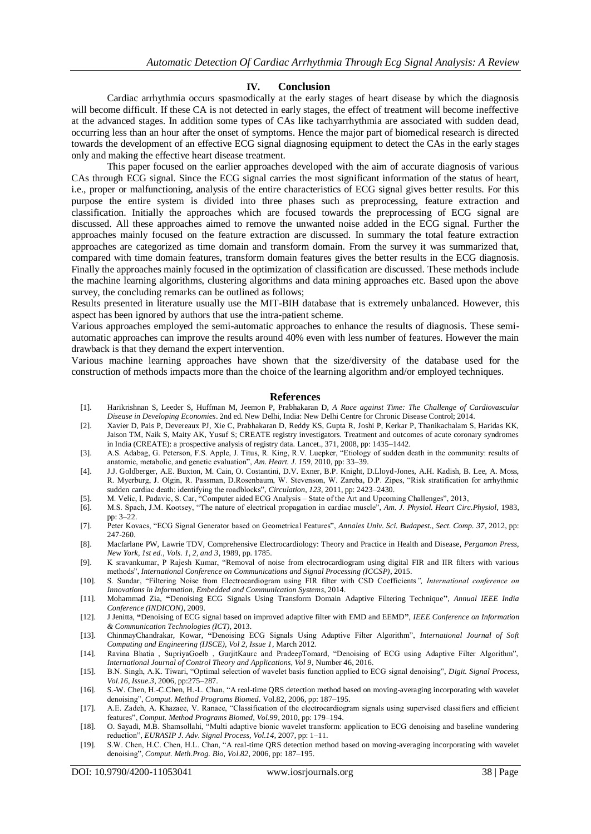#### **IV. Conclusion**

Cardiac arrhythmia occurs spasmodically at the early stages of heart disease by which the diagnosis will become difficult. If these CA is not detected in early stages, the effect of treatment will become ineffective at the advanced stages. In addition some types of CAs like tachyarrhythmia are associated with sudden dead, occurring less than an hour after the onset of symptoms. Hence the major part of biomedical research is directed towards the development of an effective ECG signal diagnosing equipment to detect the CAs in the early stages only and making the effective heart disease treatment.

This paper focused on the earlier approaches developed with the aim of accurate diagnosis of various CAs through ECG signal. Since the ECG signal carries the most significant information of the status of heart, i.e., proper or malfunctioning, analysis of the entire characteristics of ECG signal gives better results. For this purpose the entire system is divided into three phases such as preprocessing, feature extraction and classification. Initially the approaches which are focused towards the preprocessing of ECG signal are discussed. All these approaches aimed to remove the unwanted noise added in the ECG signal. Further the approaches mainly focused on the feature extraction are discussed. In summary the total feature extraction approaches are categorized as time domain and transform domain. From the survey it was summarized that, compared with time domain features, transform domain features gives the better results in the ECG diagnosis. Finally the approaches mainly focused in the optimization of classification are discussed. These methods include the machine learning algorithms, clustering algorithms and data mining approaches etc. Based upon the above survey, the concluding remarks can be outlined as follows;

Results presented in literature usually use the MIT-BIH database that is extremely unbalanced. However, this aspect has been ignored by authors that use the intra-patient scheme.

Various approaches employed the semi-automatic approaches to enhance the results of diagnosis. These semiautomatic approaches can improve the results around 40% even with less number of features. However the main drawback is that they demand the expert intervention.

Various machine learning approaches have shown that the size/diversity of the database used for the construction of methods impacts more than the choice of the learning algorithm and/or employed techniques.

#### **References**

- [1]. Harikrishnan S, Leeder S, Huffman M, Jeemon P, Prabhakaran D, *A Race against Time: The Challenge of Cardiovascular Disease in Developing Economies*. 2nd ed. New Delhi, India: New Delhi Centre for Chronic Disease Control; 2014.
- [2]. Xavier D, Pais P, Devereaux PJ, Xie C, Prabhakaran D, Reddy KS, Gupta R, Joshi P, Kerkar P, Thanikachalam S, Haridas KK, Jaison TM, Naik S, Maity AK, Yusuf S; CREATE registry investigators. Treatment and outcomes of acute coronary syndromes in India (CREATE): a prospective analysis of registry data. Lancet., 371, 2008, pp: 1435–1442.
- [3]. A.S. Adabag, G. Peterson, F.S. Apple, J. Titus, R. King, R.V. Luepker, "Etiology of sudden death in the community: results of anatomic, metabolic, and genetic evaluation", *Am. Heart. J. 159*, 2010, pp: 33–39.
- [4]. J.J. Goldberger, A.E. Buxton, M. Cain, O. Costantini, D.V. Exner, B.P. Knight, D.Lloyd-Jones, A.H. Kadish, B. Lee, A. Moss, R. Myerburg, J. Olgin, R. Passman, D.Rosenbaum, W. Stevenson, W. Zareba, D.P. Zipes, "Risk stratification for arrhythmic sudden cardiac death: identifying the roadblocks", *Circulation, 123*, 2011, pp: 2423–2430.
- [5]. M. Velic, I. Padavic, S. Car, "Computer aided ECG Analysis State of the Art and Upcoming Challenges", 2013,
- [6]. M.S. Spach, J.M. Kootsey, "The nature of electrical propagation in cardiac muscle", *Am. J. Physiol. Heart Circ.Physiol*, 1983, pp: 3–22.
- [7]. Peter Kovacs, "ECG Signal Generator based on Geometrical Features", *Annales Univ. Sci. Budapest., Sect. Comp. 37*, 2012, pp: 247-260.
- [8]. Macfarlane PW, Lawrie TDV, Comprehensive Electrocardiology: Theory and Practice in Health and Disease, *Pergamon Press, New York, 1st ed., Vols. 1, 2, and 3*, 1989, pp. 1785.
- [9]. K sravankumar, P Rajesh Kumar, "Removal of noise from electrocardiogram using digital FIR and IIR filters with various methods", *International Conference on Communications and Signal Processing (ICCSP)*, 2015.
- [10]. S. Sundar, "Filtering Noise from Electrocardiogram using FIR filter with CSD Coefficients*", International conference on Innovations in Information, Embedded and Communication Systems*, 2014.
- [11]. Mohammad Zia, **"**Denoising ECG Signals Using Transform Domain Adaptive Filtering Technique**"**, *Annual IEEE India Conference (INDICON)*, 2009.
- [12]. J Jenitta, **"**Denoising of ECG signal based on improved adaptive filter with EMD and EEMD**"**, *IEEE Conference on Information & Communication Technologies (ICT)*, 2013.
- [13]. ChinmayChandrakar, Kowar, **"**Denoising ECG Signals Using Adaptive Filter Algorithm", *International Journal of Soft Computing and Engineering (IJSCE), Vol 2, Issue 1*, March 2012.
- [14]. Ravina Bhatia , SupriyaGoelb , GurjitKaurc and PradeepTomard, "Denoising of ECG using Adaptive Filter Algorithm", *International Journal of Control Theory and Applications, Vol 9*, Number 46, 2016.
- [15]. B.N. Singh, A.K. Tiwari, "Optimal selection of wavelet basis function applied to ECG signal denoising", *Digit. Signal Process, Vol.16, Issue.3*, 2006, pp:275–287.
- [16]. S.-W. Chen, H.-C.Chen, H.-L. Chan, "A real-time QRS detection method based on moving-averaging incorporating with wavelet denoising", *Comput. Method Programs Biomed*. Vol.82, 2006, pp: 187–195.
- [17]. A.E. Zadeh, A. Khazaee, V. Ranaee, "Classification of the electrocardiogram signals using supervised classifiers and efficient features", *Comput. Method Programs Biomed, Vol.99*, 2010, pp: 179–194.
- [18]. O. Sayadi, M.B. Shamsollahi, "Multi adaptive bionic wavelet transform: application to ECG denoising and baseline wandering reduction", *EURASIP J. Adv. Signal Process, Vol.14*, 2007, pp: 1–11.
- [19]. S.W. Chen, H.C. Chen, H.L. Chan, "A real-time QRS detection method based on moving-averaging incorporating with wavelet denoising", *Comput. Meth.Prog. Bio, Vol.82*, 2006, pp: 187–195.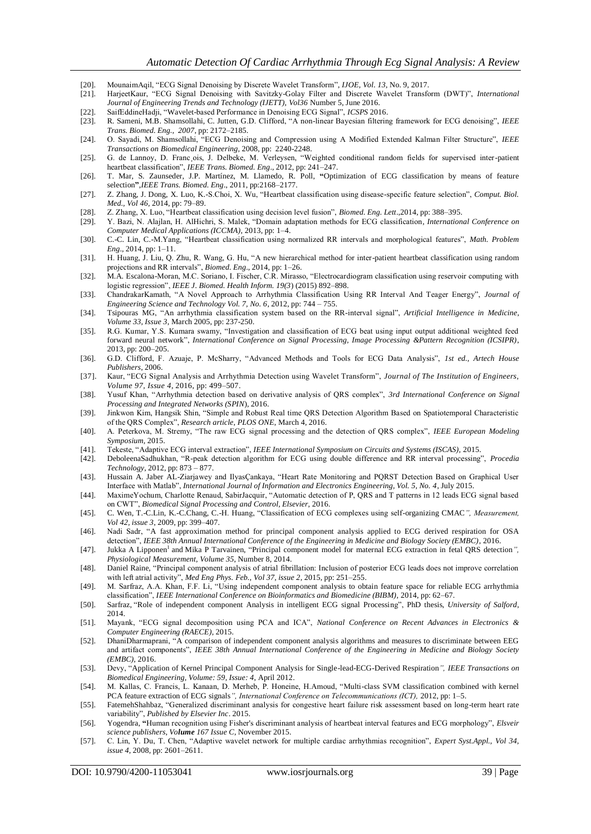- [20]. MounaimAqil, "ECG Signal Denoising by Discrete Wavelet Transform", *IJOE, Vol. 13*, No. 9, 2017.
- [21]. HarjeetKaur, "ECG Signal Denoising with Savitzky-Golay Filter and Discrete Wavelet Transform (DWT)", *International Journal of Engineering Trends and Technology (IJETT), Vol36* Number 5, June 2016.
- [22]. SaifEddineHadji, "Wavelet-based Performance in Denoising ECG Signal", *ICSPS* 2016.
- [23]. R. Sameni, M.B. Shamsollahi, C. Jutten, G.D. Clifford, "A non-linear Bayesian filtering framework for ECG denoising", *IEEE Trans. Biomed. Eng., 2007*, pp: 2172–2185.
- [24]. O. Sayadi, M. Shamsollahi, "ECG Denoising and Compression using A Modified Extended Kalman Filter Structure", *IEEE Transactions on Biomedical Engineering,* 2008, pp: 2240-2248.
- [25]. G. de Lannoy, D. Franc ois, J. Delbeke, M. Verleysen, "Weighted conditional random fields for supervised inter-patient heartbeat classification", *IEEE Trans. Biomed. Eng*., 2012, pp: 241–247.
- [26]. T. Mar, S. Zaunseder, J.P. Martínez, M. Llamedo, R. Poll, **"**Optimization of ECG classification by means of feature selection**"**,*IEEE Trans. Biomed. Eng*., 2011, pp:2168–2177.
- [27]. Z. Zhang, J. Dong, X. Luo, K.-S.Choi, X. Wu, "Heartbeat classification using disease-specific feature selection", *Comput. Biol. Med., Vol 46,* 2014, pp: 79–89.
- [28]. Z. Zhang, X. Luo, "Heartbeat classification using decision level fusion", *Biomed. Eng. Lett*.,2014, pp: 388–395.
- [29]. Y. Bazi, N. Alajlan, H. AlHichri, S. Malek, "Domain adaptation methods for ECG classification*, International Conference on Computer Medical Applications (ICCMA)*, 2013, pp: 1–4.
- [30]. C.-C. Lin, C.-M.Yang, "Heartbeat classification using normalized RR intervals and morphological features", *Math. Problem Eng*., 2014, pp: 1–11.
- [31]. H. Huang, J. Liu, Q. Zhu, R. Wang, G. Hu, "A new hierarchical method for inter-patient heartbeat classification using random projections and RR intervals", *Biomed. Eng*., 2014, pp: 1–26.
- [32]. M.A. Escalona-Moran, M.C. Soriano, I. Fischer, C.R. Mirasso, "Electrocardiogram classification using reservoir computing with logistic regression", *IEEE J. Biomed. Health Inform. 19(3*) (2015) 892–898.
- [33]. ChandrakarKamath, "A Novel Approach to Arrhythmia Classification Using RR Interval And Teager Energy", *Journal of Engineering Science and Technology Vol. 7, No. 6*, 2012, pp: 744 – 755.
- [34]. Tsipouras MG, "An arrhythmia classification system based on the RR-interval signal", *Artificial Intelligence in Medicine, Volume 33, Issue 3*, March 2005, pp: 237-250.
- [35]. R.G. Kumar, Y.S. Kumara swamy, "Investigation and classification of ECG beat using input output additional weighted feed forward neural network", *International Conference on Signal Processing, Image Processing &Pattern Recognition (ICSIPR)*, 2013, pp: 200–205.
- [36]. G.D. Clifford, F. Azuaje, P. McSharry, "Advanced Methods and Tools for ECG Data Analysis", *1st ed., Artech House Publishers*, 2006.
- [37]. Kaur, "ECG Signal Analysis and Arrhythmia Detection using Wavelet Transform", *Journal of The Institution of Engineers, Volume 97, Issue 4*, 2016, pp: 499–507.
- [38]. Yusuf Khan, "Arrhythmia detection based on derivative analysis of QRS complex", *3rd International Conference on Signal Processing and Integrated Networks (SPIN*), 2016.
- [39]. Jinkwon Kim, Hangsik Shin, "Simple and Robust Real time QRS Detection Algorithm Based on Spatiotemporal Characteristic of the QRS Complex", *Research article, PLOS ONE*, March 4, 2016.
- [40]. A. Peterkova, M. Stremy, "The raw ECG signal processing and the detection of QRS complex", *IEEE European Modeling Symposium,* 2015.
- [41]. Tekeste, "Adaptive ECG interval extraction", *IEEE International Symposium on Circuits and Systems (ISCAS),* 2015.
- [42]. DeboleenaSadhukhan, "R-peak detection algorithm for ECG using double difference and RR interval processing", *Procedia Technology*, 2012, pp: 873 – 877.
- [43]. Hussain A. Jaber AL-Ziarjawey and IlyasÇankaya, "Heart Rate Monitoring and PQRST Detection Based on Graphical User Interface with Matlab", *International Journal of Information and Electronics Engineering, Vol. 5, No. 4*, July 2015.
- [44]. MaximeYochum, Charlotte Renaud, SabirJacquir, "Automatic detection of P, QRS and T patterns in 12 leads ECG signal based on CWT", *Biomedical Signal Processing and Control, Elsevier,* 2016.
- [45]. C. Wen, T.-C.Lin, K.-C.Chang, C.-H. Huang, "Classification of ECG complexes using self-organizing CMAC*", Measurement, Vol 42, issue 3*, 2009, pp: 399–407.
- [46]. Nadi Sadr, "A fast approximation method for principal component analysis applied to ECG derived respiration for OSA detection", *IEEE 38th Annual International Conference of the Engineering in Medicine and Biology Society (EMBC)*, 2016.
- [47]. Jukka A Lipponen<sup>1</sup> and Mika P Tarvainen, "Principal component model for maternal ECG extraction in fetal QRS detection", *Physiological Measurement, Volume 35*, Number 8, 2014.
- [48]. Daniel Raine, "Principal component analysis of atrial fibrillation: Inclusion of posterior ECG leads does not improve correlation with left atrial activity", *Med Eng Phys. Feb., Vol 37, issue 2*, 2015, pp: 251–255.
- [49]. M. Sarfraz, A.A. Khan, F.F. Li, "Using independent component analysis to obtain feature space for reliable ECG arrhythmia classification", *IEEE International Conference on Bioinformatics and Biomedicine (BIBM),* 2014, pp: 62–67.
- [50]. Sarfraz, "Role of independent component Analysis in intelligent ECG signal Processing", PhD thesis, *University of Salford*, 2014.
- [51]. Mayank, "ECG signal decomposition using PCA and ICA", *National Conference on Recent Advances in Electronics & Computer Engineering (RAECE)*, 2015.
- [52]. DhaniDharmaprani, "A comparison of independent component analysis algorithms and measures to discriminate between EEG and artifact components", *IEEE 38th Annual International Conference of the Engineering in Medicine and Biology Society (EMBC),* 2016.
- [53]. Devy, "Application of Kernel Principal Component Analysis for Single-lead-ECG-Derived Respiration*", IEEE Transactions on Biomedical Engineering, Volume: 59, Issue: 4*, April 2012.
- [54]. M. Kallas, C. Francis, L. Kanaan, D. Merheb, P. Honeine, H.Amoud, "Multi-class SVM classification combined with kernel PCA feature extraction of ECG signals*", International Conference on Telecommunications (ICT),* 2012, pp: 1–5.
- [55]. FatemehShahbaz, "Generalized discriminant analysis for congestive heart failure risk assessment based on long-term heart rate variability", *Published by Elsevier Inc*. 2015.
- [56]. Yogendra, **"**Human recognition using Fisher's discriminant analysis of heartbeat interval features and ECG morphology", *Elsveir science publishers, Volume 167 Issue C*, November 2015.
- [57]. C. Lin, Y. Du, T. Chen, "Adaptive wavelet network for multiple cardiac arrhythmias recognition", *Expert Syst.Appl., Vol 34, issue 4*, 2008, pp: 2601–2611.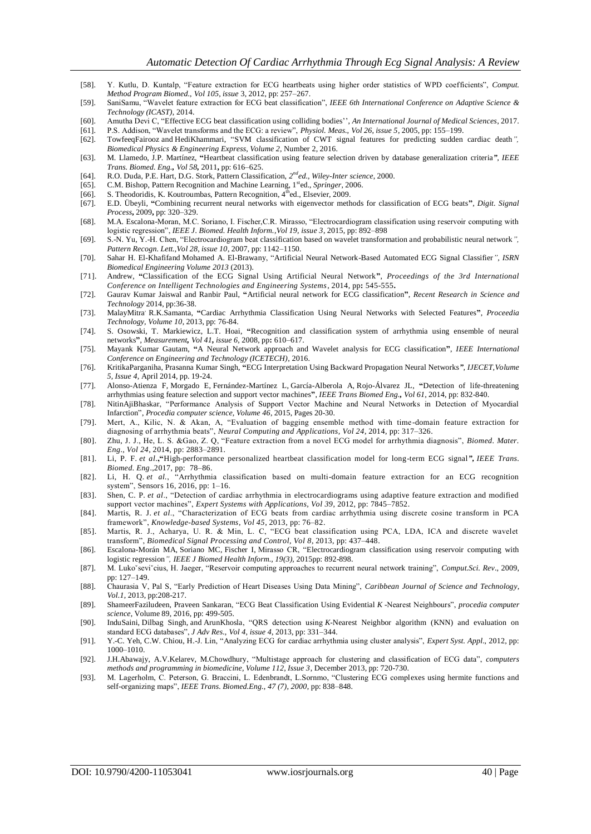- [58]. Y. Kutlu, D. Kuntalp, "Feature extraction for ECG heartbeats using higher order statistics of WPD coefficients", *Comput. Method Program Biomed., Vol 105, issue* 3, 2012, pp: 257–267.
- [59]. SaniSamu, "Wavelet feature extraction for ECG beat classification", *IEEE 6th International Conference on Adaptive Science & Technology (ICAST)*, 2014.
- [60]. Amutha Devi C, "Effective ECG beat classification using colliding bodies'', *An International Journal of Medical Sciences*, 2017.
- [61]. P.S. Addison, "Wavelet transforms and the ECG: a review", *Physiol. Meas., Vol 26, issue 5*, 2005, pp: 155–199.
- [62]. TowfeeqFairooz and HediKhammari, "SVM classification of CWT signal features for predicting sudden cardiac death*", Biomedical Physics & Engineering Express, Volume 2*, Number 2, 2016.
- [63]. M. Llamedo, J.P. Martínez, **"**Heartbeat classification using feature selection driven by database generalization criteria*", IEEE Trans. Biomed. Eng., Vol 58,* 2011**,** pp: 616–625.
- [64]. R.O. Duda, P.E. Hart, D.G. Stork, Pattern Classification, 2<sup>nd</sup>ed., Wiley-Inter science, 2000.
- [65]. C.M. Bishop, Pattern Recognition and Machine Learning, 1<sup>st</sup>ed., *Springer*, 2006.
- [66]. S. Theodoridis, K. Koutroumbas, Pattern Recognition, 4<sup>th</sup>ed., Elsevier, 2009.
- [67]. E.D. Übeyli, **"**Combining recurrent neural networks with eigenvector methods for classification of ECG beats**"**, *Digit. Signal Process***,** 2009**,** pp: 320–329.
- [68]. M.A. Escalona-Moran, M.C. Soriano, I. Fischer,C.R. Mirasso, "Electrocardiogram classification using reservoir computing with logistic regression", *IEEE J. Biomed. Health Inform.,Vol 19, issue 3*, 2015, pp: 892–898
- [69]. S.-N. Yu, Y.-H. Chen, "Electrocardiogram beat classification based on wavelet transformation and probabilistic neural network*", Pattern Recogn. Lett.,Vol 28, issue 10*, 2007, pp: 1142–1150.
- [70]. Sahar H. El-Khafifand Mohamed A. El-Brawany, "Artificial Neural Network-Based Automated ECG Signal Classifier*", ISRN Biomedical Engineering Volume 2013* (2013).
- [71]. Andrew, **"**Classification of the ECG Signal Using Artificial Neural Network**"**, *Proceedings of the 3rd International Conference on Intelligent Technologies and Engineering Systems*, 2014, pp**:** 545-555**.**
- [72]. Gaurav Kumar Jaiswal and Ranbir Paul, **"**Artificial neural network for ECG classification**"**, *Recent Research in Science and Technology* 2014, pp:36-38.
- [73]. MalayMitra, R.K.Samanta, **"**Cardiac Arrhythmia Classification Using Neural Networks with Selected Features**"**, *Proceedia Technology, Volume 10*, 2013, pp: 76-84.
- [74]. S. Osowski, T. Markiewicz, L.T. Hoai, **"**Recognition and classification system of arrhythmia using ensemble of neural networks**"**, *Measurement, Vol 41, issue 6*, 2008, pp**:** 610–617.
- [75]. Mayank Kumar Gautam, **"**A Neural Network approach and Wavelet analysis for ECG classification**"**, *IEEE International Conference on Engineering and Technology (ICETECH)*, 2016.
- [76]. KritikaParganiha, Prasanna Kumar Singh, **"**ECG Interpretation Using Backward Propagation Neural Networks*", IJECET,Volume 5, Issue 4,* April 2014, pp. 19-24.
- [77]. Alonso-Atienza F, Morgado E, Fernández-Martínez L, García-Alberola A, Rojo-Álvarez JL, **"**Detection of life-threatening arrhythmias using feature selection and support vector machines**"**, *IEEE Trans Biomed Eng., Vol 61*, 2014, pp: 832-840.
- [78]. [NitinAjiBhaskar,](http://www.sciencedirect.com/science/article/pii/S1877050915000447#!) "Performance Analysis of Support Vector Machine and Neural Networks in Detection of Myocardial Infarction", *Procedia computer science, Volume 46*, 2015, Pages 20-30.
- [79]. Mert, A., Kilic, N. & Akan, A, "Evaluation of bagging ensemble method with time -domain feature extraction for diagnosing of arrhythmia beats", *Neural Computing and Applications, Vol 24*, 2014, pp: 317–326.
- [80]. Zhu, J. J., He, L. S. &Gao, Z. Q, "Feature extraction from a novel ECG model for arrhythmia diagnosis", *Biomed. Mater. Eng., Vol 24*, 2014, pp: 2883–2891.
- [81]. Li, P. F. *et al*.**,"**High-performance personalized heartbeat classification model for long-term ECG signal*", IEEE Trans. Biomed. Eng*.,2017, pp: 78–86.
- [82]. Li, H. Q. *et al.*, "Arrhythmia classification based on multi-domain feature extraction for an ECG recognition system", Sensors 16, 2016, pp: 1–16.
- [83]. Shen, C. P. *et al*., "Detection of cardiac arrhythmia in electrocardiograms using adaptive feature extraction and modified support vector machines", *Expert Systems with Applications, Vol 39*, 2012, pp: 7845–7852.
- [84]. Martis, R. J. et al., "Characterization of ECG beats from cardiac arrhythmia using discrete cosine transform in PCA framework", *Knowledge-based Systems, Vol 45*, 2013, pp: 76–82.
- [85]. Martis, R. J., Acharya, U. R. & Min, L. C, "ECG beat classification using PCA, LDA, ICA and discrete wavelet transform", *Biomedical Signal Processing and Control, Vol 8*, 2013, pp: 437–448.
- [86]. Escalona-Morán MA, Soriano MC, Fischer I, Mirasso CR, "Electrocardiogram classification using reservoir computing with logistic regression*", IEEE J Biomed Health Inform., 19(3),* 2015pp: 892-898.
- [87]. M. Lukoˇseviˇcius, H. Jaeger, "Reservoir computing approaches to recurrent neural network training", *Comput.Sci. Rev*., 2009, pp: 127–149.
- [88]. Chaurasia V, Pal S, "Early Prediction of Heart Diseases Using Data Mining", *Caribbean Journal of Science and Technology, Vol.1*, 2013, pp:208-217.
- [89]. [ShameerFaziludeen, Praveen Sankaran,](http://www.sciencedirect.com/science/article/pii/S1877050916311711#!) "ECG Beat Classification Using Evidential *K* -Nearest Neighbours", *procedia computer science*, Volume 89, 2016, pp: 499-505.
- [90]. InduSaini, Dilbag Singh, and ArunKhosla, "QRS detection using *K*-Nearest Neighbor algorithm (KNN) and evaluation on standard ECG databases", *J Adv Res., Vol 4, issue 4*, 2013, pp: 331–344.
- [91]. Y.-C. Yeh, C.W. Chiou, H.-J. Lin, "Analyzing ECG for cardiac arrhythmia using cluster analysis", *Expert Syst. Appl*., 2012, pp: 1000–1010.
- [92]. [J.H.Abawajy, A.V.Kelarev, M.Chowdhury,](http://www.sciencedirect.com/science/article/pii/S0169260713002678#!) "Multistage approach for clustering and classification of ECG data", *computers methods and programming in biomedicine, Volume 112, Issue 3*, December 2013, pp: 720-730.
- [93]. M. Lagerholm, C. Peterson, G. Braccini, L. Edenbrandt, L.Sornmo, "Clustering ECG complexes using hermite functions and self-organizing maps", *IEEE Trans. Biomed.Eng., 47 (7), 2000*, pp: 838–848.